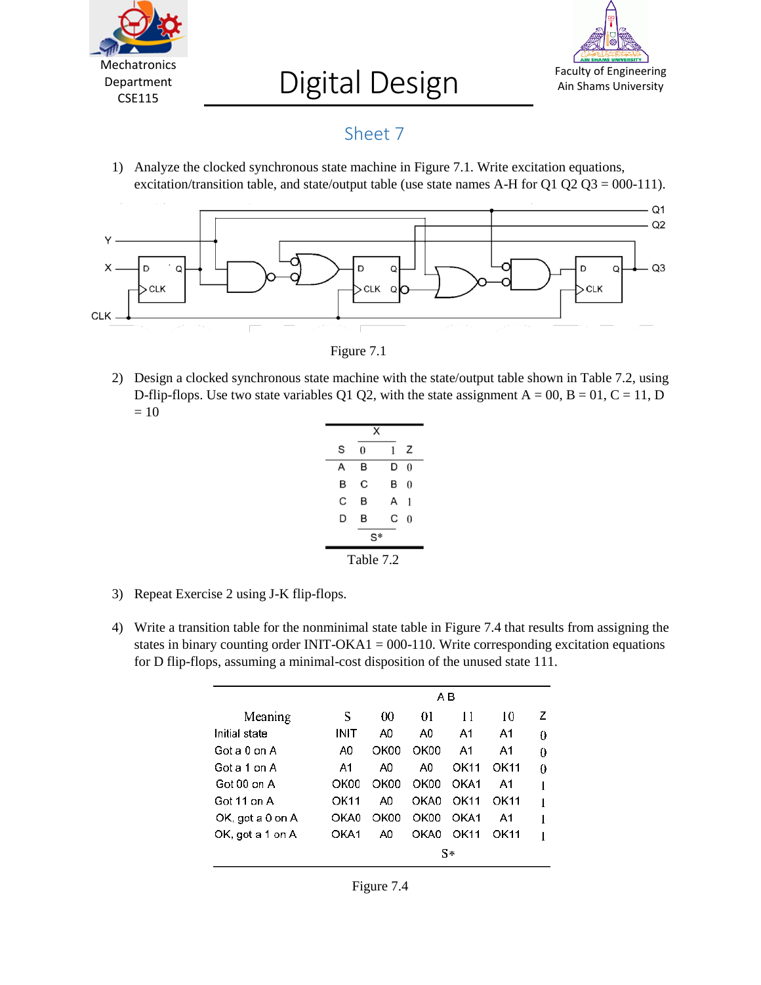

## Digital Design



## Sheet 7

1) Analyze the clocked synchronous state machine in Figure 7.1. Write excitation equations, excitation/transition table, and state/output table (use state names A-H for Q1 Q2 Q3 = 000-111).



Figure 7.1

2) Design a clocked synchronous state machine with the state/output table shown in Table 7.2, using D-flip-flops. Use two state variables Q1 Q2, with the state assignment  $A = 00$ ,  $B = 01$ ,  $C = 11$ , D  $= 10$ 

|           | x |   |          |  |
|-----------|---|---|----------|--|
| S         | 0 | 1 | Ζ        |  |
| А         | в | D | 0        |  |
| B         | C | в | $\theta$ |  |
| C         | B | А | 1        |  |
| D         | в | С | $\theta$ |  |
| S*        |   |   |          |  |
| Table 7.2 |   |   |          |  |

- 3) Repeat Exercise 2 using J-K flip-flops.
- 4) Write a transition table for the nonminimal state table in Figure 7.4 that results from assigning the states in binary counting order INIT-OKA1 =  $000-110$ . Write corresponding excitation equations for D flip-flops, assuming a minimal-cost disposition of the unused state 111.

|                  |      | ΑB   |      |      |      |   |  |
|------------------|------|------|------|------|------|---|--|
| Meaning          | S    | 00   | 01   | 11   | 10   | z |  |
| Initial state    | INIT | A0   | A0   | A1   | A1   |   |  |
| Got a 0 on A     | A0   | OK00 | OK00 | A1   | A1   |   |  |
| Got a 1 on A     | A1   | A0   | A0   | OK11 | OK11 |   |  |
| Got 00 on A      | OK00 | OK00 | OK00 | OKA1 | A1   |   |  |
| Got 11 on A      | OK11 | A0   | OKA0 | OK11 | OK11 |   |  |
| OK, got a 0 on A | OKA0 | OK00 | OK00 | OKA1 | A1   |   |  |
| OK, got a 1 on A | OKA1 | A0   | OKA0 | OK11 | OK11 |   |  |
|                  |      | S∗   |      |      |      |   |  |

| г | .011 T |  |
|---|--------|--|
|---|--------|--|